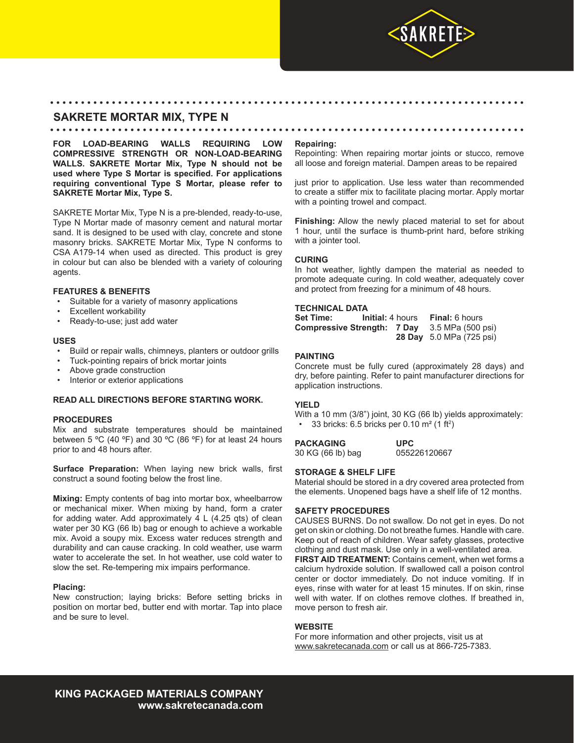

# **SAKRETE MORTAR MIX, TYPE N**

• • • • • • • • • • • • • • • • • • • • • • • • • • • • • • • • • • • • • • • • • • • • • • • • • • • • • • • • • • • • • • • • • • • • • • • • • • • • •

**FOR LOAD-BEARING WALLS REQUIRING LOW COMPRESSIVE STRENGTH OR NON-LOAD-BEARING WALLS. SAKRETE Mortar Mix, Type N should not be used where Type S Mortar is specified. For applications requiring conventional Type S Mortar, please refer to SAKRETE Mortar Mix, Type S.**

SAKRETE Mortar Mix, Type N is a pre-blended, ready-to-use, Type N Mortar made of masonry cement and natural mortar sand. It is designed to be used with clay, concrete and stone masonry bricks. SAKRETE Mortar Mix, Type N conforms to CSA A179-14 when used as directed. This product is grey in colour but can also be blended with a variety of colouring agents.

# **FEATURES & BENEFITS**

- Suitable for a variety of masonry applications
- **Excellent workability**
- Ready-to-use; just add water

#### **USES**

- Build or repair walls, chimneys, planters or outdoor grills
- Tuck-pointing repairs of brick mortar joints
- Above grade construction
- Interior or exterior applications

# **READ ALL DIRECTIONS BEFORE STARTING WORK.**

# **PROCEDURES**

Mix and substrate temperatures should be maintained between 5 °C (40 °F) and 30 °C (86 °F) for at least 24 hours prior to and 48 hours after.

**Surface Preparation:** When laying new brick walls, first construct a sound footing below the frost line.

**Mixing:** Empty contents of bag into mortar box, wheelbarrow or mechanical mixer. When mixing by hand, form a crater for adding water. Add approximately 4 L (4.25 qts) of clean water per 30 KG (66 lb) bag or enough to achieve a workable mix. Avoid a soupy mix. Excess water reduces strength and durability and can cause cracking. In cold weather, use warm water to accelerate the set. In hot weather, use cold water to slow the set. Re-tempering mix impairs performance.

# **Placing:**

New construction; laying bricks: Before setting bricks in position on mortar bed, butter end with mortar. Tap into place and be sure to level.

#### **Repairing:**

• • • • • • • • • • • • • • • • • • • • • • • • • • • • • • • • • • • • • • • • • • • • • • • • • • • • • • • • • • • • • • • • • • • • • • • • • • • • •

Repointing: When repairing mortar joints or stucco, remove all loose and foreign material. Dampen areas to be repaired

just prior to application. Use less water than recommended to create a stiffer mix to facilitate placing mortar. Apply mortar with a pointing trowel and compact.

**Finishing:** Allow the newly placed material to set for about 1 hour, until the surface is thumb-print hard, before striking with a jointer tool.

#### **CURING**

In hot weather, lightly dampen the material as needed to promote adequate curing. In cold weather, adequately cover and protect from freezing for a minimum of 48 hours.

#### **TECHNICAL DATA**

**Set Time: Initial:** 4 hours **Final:** 6 hours<br>**Compressive Strength: 7 Day** 3.5 MPa (500 psi) **Compressive Strength: 7 Day 28 Day** 5.0 MPa (725 psi)

# **PAINTING**

Concrete must be fully cured (approximately 28 days) and dry, before painting. Refer to paint manufacturer directions for application instructions.

# **YIELD**

With a 10 mm (3/8") joint, 30 KG (66 lb) yields approximately: • 33 bricks: 6.5 bricks per 0.10  $\text{m}^2$  (1 ft<sup>2</sup>)

| <b>PACKAGING</b>  | <b>UPC</b>   |
|-------------------|--------------|
| 30 KG (66 lb) bag | 055226120667 |

# **STORAGE & SHELF LIFE**

Material should be stored in a dry covered area protected from the elements. Unopened bags have a shelf life of 12 months.

# **SAFETY PROCEDURES**

CAUSES BURNS. Do not swallow. Do not get in eyes. Do not get on skin or clothing. Do not breathe fumes. Handle with care. Keep out of reach of children. Wear safety glasses, protective clothing and dust mask. Use only in a well-ventilated area.

**FIRST AID TREATMENT:** Contains cement, when wet forms a calcium hydroxide solution. If swallowed call a poison control center or doctor immediately. Do not induce vomiting. If in eyes, rinse with water for at least 15 minutes. If on skin, rinse well with water. If on clothes remove clothes. If breathed in, move person to fresh air.

# **WEBSITE**

For more information and other projects, visit us at www.sakretecanada.com or call us at 866-725-7383.